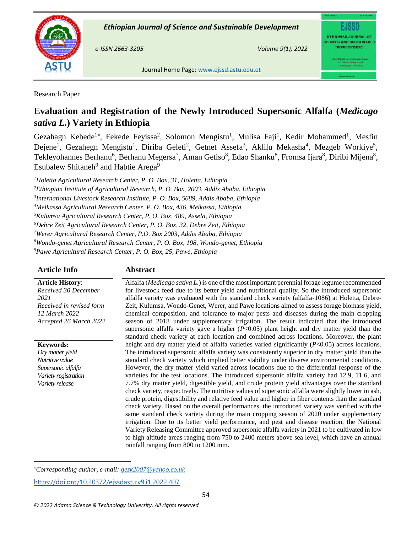



**ASTU** Journal Home Page[: www.ejssd.astu.edu.](http://www.ejssd.astu.edu/)et

# Research Paper

# **Evaluation and Registration of the Newly Introduced Supersonic Alfalfa (***Medicago sativa L.***) Variety in Ethiopia**

Gezahagn Kebede<sup>1\*</sup>, Fekede Feyissa<sup>2</sup>, Solomon Mengistu<sup>1</sup>, Mulisa Faji<sup>1</sup>, Kedir Mohammed<sup>1</sup>, Mesfin Dejene<sup>1</sup>, Gezahegn Mengistu<sup>1</sup>, Diriba Geleti<sup>2</sup>, Getnet Assefa<sup>3</sup>, Aklilu Mekasha<sup>4</sup>, Mezgeb Workiye<sup>5</sup>, Tekleyohannes Berhanu<sup>6</sup>, Berhanu Megersa<sup>7</sup>, Aman Getiso<sup>8</sup>, Edao Shanku<sup>8</sup>, Fromsa Ijara<sup>8</sup>, Diribi Mijena<sup>8</sup>, Esubalew Shitaneh $9$  and Habtie Arega $9$ 

*Holetta Agricultural Research Center, P. O. Box, 31, Holetta, Ethiopia Ethiopian Institute of Agricultural Research, P. O. Box, 2003, Addis Ababa, Ethiopia International Livestock Research Institute, P. O. Box, 5689, Addis Ababa, Ethiopia Melkassa Agricultural Research Center, P. O. Box, 436, Melkassa, Ethiopia Kulumsa Agricultural Research Center, P. O. Box, 489, Assela, Ethiopia Debre Zeit Agricultural Research Center, P. O. Box, 32, Debre Zeit, Ethiopia Werer Agricultural Research Center, P.O. Box 2003, Addis Ababa, Ethiopia Wondo-genet Agricultural Research Center, P. O. Box, 198, Wondo-genet, Ethiopia Pawe Agricultural Research Center, P. O. Box, 25, Pawe, Ethiopia*

# **Article Info Abstract**

**Article History**: *Received 30 December 2021 Received in revised form 12 March 2022 Accepted 26 March 2022*

**Keywords:**  *Dry matter yield Nutritive value Supersonic alfalfa Variety registration Variety release* 

Alfalfa (*Medicago sativa L.*) is one of the most important perennial forage legume recommended for livestock feed due to its better yield and nutritional quality. So the introduced supersonic alfalfa variety was evaluated with the standard check variety (alfalfa-1086) at Holetta, Debre-Zeit, Kulumsa, Wondo-Genet, Werer, and Pawe locations aimed to assess forage biomass yield, chemical composition, and tolerance to major pests and diseases during the main cropping season of 2018 under supplementary irrigation. The result indicated that the introduced supersonic alfalfa variety gave a higher (*P*<0.05) plant height and dry matter yield than the standard check variety at each location and combined across locations. Moreover, the plant height and dry matter yield of alfalfa varieties varied significantly (*P*<0.05) across locations. The introduced supersonic alfalfa variety was consistently superior in dry matter yield than the standard check variety which implied better stability under diverse environmental conditions. However, the dry matter yield varied across locations due to the differential response of the varieties for the test locations. The introduced supersonic alfalfa variety had 12.9, 11.6, and 7.7% dry matter yield, digestible yield, and crude protein yield advantages over the standard check variety, respectively. The nutritive values of supersonic alfalfa were slightly lower in ash, crude protein, digestibility and relative feed value and higher in fiber contents than the standard check variety. Based on the overall performances, the introduced variety was verified with the same standard check variety during the main cropping season of 2020 under supplementary irrigation. Due to its better yield performance, and pest and disease reaction, the National Variety Releasing Committee approved supersonic alfalfa variety in 2021 to be cultivated in low to high altitude areas ranging from 750 to 2400 meters above sea level, which have an annual rainfall ranging from 800 to 1200 mm.

 $\overline{a}$ *Corresponding author, e-mail: gezk2007@yahoo.co.uk*

<https://doi.org/10.20372/ejssdastu:v9.i1.2022.407>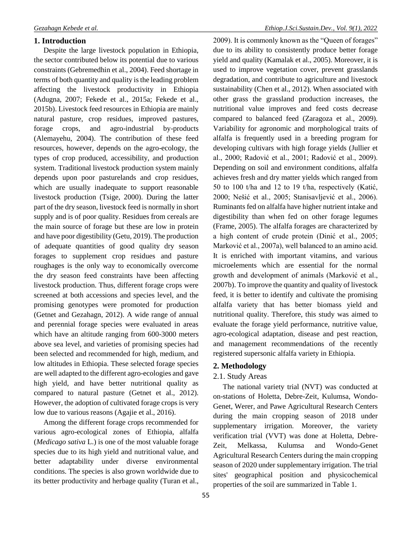### **1. Introduction**

Despite the large livestock population in Ethiopia, the sector contributed below its potential due to various constraints (Gebremedhin et al., 2004). Feed shortage in terms of both quantity and quality is the leading problem affecting the livestock productivity in Ethiopia (Adugna, 2007; Fekede et al., 2015a; Fekede et al., 2015b). Livestock feed resources in Ethiopia are mainly natural pasture, crop residues, improved pastures, forage crops, and agro-industrial by-products (Alemayehu, 2004). The contribution of these feed resources, however, depends on the agro-ecology, the types of crop produced, accessibility, and production system. Traditional livestock production system mainly depends upon poor pasturelands and crop residues, which are usually inadequate to support reasonable livestock production (Tsige, 2000). During the latter part of the dry season, livestock feed is normally in short supply and is of poor quality. Residues from cereals are the main source of forage but these are low in protein and have poor digestibility (Getu, 2019). The production of adequate quantities of good quality dry season forages to supplement crop residues and pasture roughages is the only way to economically overcome the dry season feed constraints have been affecting livestock production. Thus, different forage crops were screened at both accessions and species level, and the promising genotypes were promoted for production (Getnet and Gezahagn, 2012). A wide range of annual and perennial forage species were evaluated in areas which have an altitude ranging from 600-3000 meters above sea level, and varieties of promising species had been selected and recommended for high, medium, and low altitudes in Ethiopia. These selected forage species are well adapted to the different agro-ecologies and gave high yield, and have better nutritional quality as compared to natural pasture (Getnet et al., 2012). However, the adoption of cultivated forage crops is very low due to various reasons (Agajie et al., 2016).

Among the different forage crops recommended for various agro-ecological zones of Ethiopia, alfalfa (*Medicago sativa* L.) is one of the most valuable forage species due to its high yield and nutritional value, and better adaptability under diverse environmental conditions. The species is also grown worldwide due to its better productivity and herbage quality (Turan et al.,

2009). It is commonly known as the "Queen of forages" due to its ability to consistently produce better forage yield and quality (Kamalak et al., 2005). Moreover, it is used to improve vegetation cover, prevent grasslands degradation, and contribute to agriculture and livestock sustainability (Chen et al., 2012). When associated with other grass the grassland production increases, the nutritional value improves and feed costs decrease compared to balanced feed (Zaragoza et al., 2009). Variability for agronomic and morphological traits of alfalfa is frequently used in a breeding program for developing cultivars with high forage yields (Jullier et al., 2000; Radović et al., 2001; Radović et al., 2009). Depending on soil and environment conditions, alfalfa achieves fresh and dry matter yields which ranged from 50 to 100 t/ha and 12 to 19 t/ha, respectively (Katić, 2000; Nešić et al., 2005; Stanisavljević et al., 2006). Ruminants fed on alfalfa have higher nutrient intake and digestibility than when fed on other forage legumes (Frame, 2005). The alfalfa forages are characterized by a high content of crude protein (Dinić et al., 2005; Marković et al., 2007a), well balanced to an amino acid. It is enriched with important vitamins, and various microelements which are essential for the normal growth and development of animals (Marković et al., 2007b). To improve the quantity and quality of livestock feed, it is better to identify and cultivate the promising alfalfa variety that has better biomass yield and nutritional quality. Therefore, this study was aimed to evaluate the forage yield performance, nutritive value, agro-ecological adaptation, disease and pest reaction, and management recommendations of the recently registered supersonic alfalfa variety in Ethiopia.

# **2. Methodology**

# 2.1. Study Areas

The national variety trial (NVT) was conducted at on-stations of Holetta, Debre-Zeit, Kulumsa, Wondo-Genet, Werer, and Pawe Agricultural Research Centers during the main cropping season of 2018 under supplementary irrigation. Moreover, the variety verification trial (VVT) was done at Holetta, Debre-Zeit, Melkassa, Kulumsa and Wondo-Genet Agricultural Research Centers during the main cropping season of 2020 under supplementary irrigation. The trial sites' geographical position and physicochemical properties of the soil are summarized in Table 1.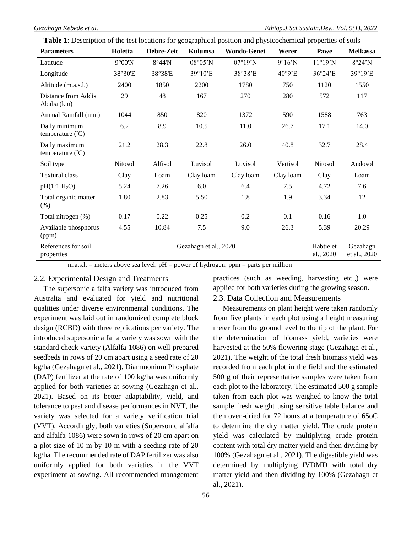| Table 1: Description of the test locations for geographical position and physicochemical properties of soils |  |  |  |
|--------------------------------------------------------------------------------------------------------------|--|--|--|
|--------------------------------------------------------------------------------------------------------------|--|--|--|

| <b>Parameters</b>                          | Holetta         | Debre-Zeit | Kulumsa                  | <b>Wondo-Genet</b> | Werer     | Pawe                   | <b>Melkassa</b>          |
|--------------------------------------------|-----------------|------------|--------------------------|--------------------|-----------|------------------------|--------------------------|
| Latitude                                   | $9^{\circ}00'N$ | 8°44'N     | $08^{\circ}05^{\prime}N$ | 07°19'N            | $9°16'$ N | 11°19'N                | 8°24'N                   |
| Longitude                                  | 38°30'E         | 38°38'E    | 39°10'E                  | 38°38'E            | 40°9'E    | 36°24'E                | 39°19'E                  |
| Altitude (m.a.s.l.)                        | 2400            | 1850       | 2200                     | 1780               | 750       | 1120                   | 1550                     |
| Distance from Addis<br>Ababa (km)          | 29              | 48         | 167                      | 270                | 280       | 572                    | 117                      |
| Annual Rainfall (mm)                       | 1044            | 850        | 820                      | 1372               | 590       | 1588                   | 763                      |
| Daily minimum<br>temperature $(^{\circ}C)$ | 6.2             | 8.9        | 10.5                     | 11.0               | 26.7      | 17.1                   | 14.0                     |
| Daily maximum<br>temperature $(^{\circ}C)$ | 21.2            | 28.3       | 22.8                     | 26.0               | 40.8      | 32.7                   | 28.4                     |
| Soil type                                  | Nitosol         | Alfisol    | Luvisol                  | Luvisol            | Vertisol  | Nitosol                | Andosol                  |
| <b>Textural class</b>                      | Clay            | Loam       | Clay loam                | Clay loam          | Clay loam | Clay                   | Loam                     |
| pH(1:1 H <sub>2</sub> O)                   | 5.24            | 7.26       | 6.0                      | 6.4                | 7.5       | 4.72                   | 7.6                      |
| Total organic matter<br>(% )               | 1.80            | 2.83       | 5.50                     | 1.8                | 1.9       | 3.34                   | 12                       |
| Total nitrogen (%)                         | 0.17            | 0.22       | 0.25                     | 0.2                | 0.1       | 0.16                   | 1.0                      |
| Available phosphorus<br>(ppm)              | 4.55            | 10.84      | 7.5                      | 9.0                | 26.3      | 5.39                   | 20.29                    |
| References for soil<br>properties          |                 |            | Gezahagn et al., 2020    |                    |           | Habtie et<br>al., 2020 | Gezahagn<br>et al., 2020 |

m.a.s.l. = meters above sea level;  $pH = power$  of hydrogen; ppm = parts per million

### 2.2. Experimental Design and Treatments

The supersonic alfalfa variety was introduced from Australia and evaluated for yield and nutritional qualities under diverse environmental conditions. The experiment was laid out in randomized complete block design (RCBD) with three replications per variety. The introduced supersonic alfalfa variety was sown with the standard check variety (Alfalfa-1086) on well-prepared seedbeds in rows of 20 cm apart using a seed rate of 20 kg/ha (Gezahagn et al., 2021). Diammonium Phosphate (DAP) fertilizer at the rate of 100 kg/ha was uniformly applied for both varieties at sowing (Gezahagn et al., 2021). Based on its better adaptability, yield, and tolerance to pest and disease performances in NVT, the variety was selected for a variety verification trial (VVT). Accordingly, both varieties (Supersonic alfalfa and alfalfa-1086) were sown in rows of 20 cm apart on a plot size of 10 m by 10 m with a seeding rate of 20 kg/ha. The recommended rate of DAP fertilizer was also uniformly applied for both varieties in the VVT experiment at sowing. All recommended management

56

practices (such as weeding, harvesting etc.,) were applied for both varieties during the growing season.

2.3. Data Collection and Measurements

Measurements on plant height were taken randomly from five plants in each plot using a height measuring meter from the ground level to the tip of the plant. For the determination of biomass yield, varieties were harvested at the 50% flowering stage (Gezahagn et al., 2021). The weight of the total fresh biomass yield was recorded from each plot in the field and the estimated 500 g of their representative samples were taken from each plot to the laboratory. The estimated 500 g sample taken from each plot was weighed to know the total sample fresh weight using sensitive table balance and then oven-dried for 72 hours at a temperature of 65oC to determine the dry matter yield. The crude protein yield was calculated by multiplying crude protein content with total dry matter yield and then dividing by 100% (Gezahagn et al., 2021). The digestible yield was determined by multiplying IVDMD with total dry matter yield and then dividing by 100% (Gezahagn et al., 2021).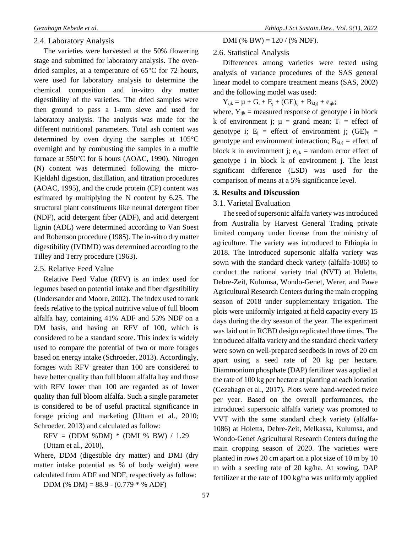The varieties were harvested at the 50% flowering stage and submitted for laboratory analysis. The ovendried samples, at a temperature of 65°C for 72 hours, were used for laboratory analysis to determine the chemical composition and in-vitro dry matter digestibility of the varieties. The dried samples were then ground to pass a 1-mm sieve and used for laboratory analysis. The analysis was made for the different nutritional parameters. Total ash content was determined by oven drying the samples at 105°C overnight and by combusting the samples in a muffle furnace at 550°C for 6 hours (AOAC, 1990). Nitrogen (N) content was determined following the micro-Kjeldahl digestion, distillation, and titration procedures (AOAC, 1995), and the crude protein (CP) content was estimated by multiplying the N content by 6.25. The structural plant constituents like neutral detergent fiber (NDF), acid detergent fiber (ADF), and acid detergent lignin (ADL) were determined according to Van Soest and Robertson procedure (1985). The in-vitro dry matter digestibility (IVDMD) was determined according to the Tilley and Terry procedure (1963).

### 2.5. Relative Feed Value

Relative Feed Value (RFV) is an index used for legumes based on potential intake and fiber digestibility (Undersander and Moore, 2002). The index used to rank feeds relative to the typical nutritive value of full bloom alfalfa hay, containing 41% ADF and 53% NDF on a DM basis, and having an RFV of 100, which is considered to be a standard score. This index is widely used to compare the potential of two or more forages based on energy intake (Schroeder, 2013). Accordingly, forages with RFV greater than 100 are considered to have better quality than full bloom alfalfa hay and those with RFV lower than 100 are regarded as of lower quality than full bloom alfalfa. Such a single parameter is considered to be of useful practical significance in forage pricing and marketing (Uttam et al., 2010; Schroeder, 2013) and calculated as follow:

 $RFV = (DDM %DM) * (DMI %BW) / 1.29$ (Uttam et al., 2010),

Where, DDM (digestible dry matter) and DMI (dry matter intake potential as % of body weight) were calculated from ADF and NDF, respectively as follow:

DDM (% DM) =  $88.9 - (0.779 * % ADF)$ 

DMI (% BW) =  $120 / ($ % NDF).

## 2.6. Statistical Analysis

Differences among varieties were tested using analysis of variance procedures of the SAS general linear model to compare treatment means (SAS, 2002) and the following model was used:

 $Y_{ijk} = \mu + G_i + E_j + (GE)_{ij} + B_{k(j)} + e_{ijk};$ 

where,  $Y_{ijk}$  = measured response of genotype i in block k of environment j;  $\mu$  = grand mean; T<sub>i</sub> = effect of genotype i;  $E_i$  = effect of environment j; (GE)<sub>ij</sub> = genotype and environment interaction;  $B_{k(j)}$  = effect of block k in environment j;  $e_{ijk}$  = random error effect of genotype i in block k of environment j. The least significant difference (LSD) was used for the comparison of means at a 5% significance level.

# **3. Results and Discussion**

## 3.1. Varietal Evaluation

The seed of supersonic alfalfa variety was introduced from Australia by Harvest General Trading private limited company under license from the ministry of agriculture. The variety was introduced to Ethiopia in 2018. The introduced supersonic alfalfa variety was sown with the standard check variety (alfalfa-1086) to conduct the national variety trial (NVT) at Holetta, Debre-Zeit, Kulumsa, Wondo-Genet, Werer, and Pawe Agricultural Research Centers during the main cropping season of 2018 under supplementary irrigation. The plots were uniformly irrigated at field capacity every 15 days during the dry season of the year. The experiment was laid out in RCBD design replicated three times. The introduced alfalfa variety and the standard check variety were sown on well-prepared seedbeds in rows of 20 cm apart using a seed rate of 20 kg per hectare. Diammonium phosphate (DAP) fertilizer was applied at the rate of 100 kg per hectare at planting at each location (Gezahagn et al., 2017). Plots were hand-weeded twice per year. Based on the overall performances, the introduced supersonic alfalfa variety was promoted to VVT with the same standard check variety (alfalfa-1086) at Holetta, Debre-Zeit, Melkassa, Kulumsa, and Wondo-Genet Agricultural Research Centers during the main cropping season of 2020. The varieties were planted in rows 20 cm apart on a plot size of 10 m by 10 m with a seeding rate of 20 kg/ha. At sowing, DAP fertilizer at the rate of 100 kg/ha was uniformly applied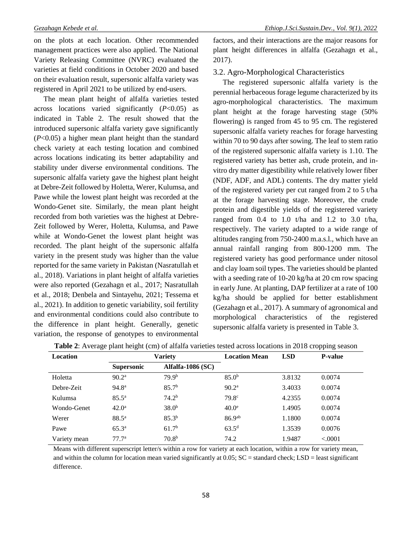on the plots at each location. Other recommended management practices were also applied. The National Variety Releasing Committee (NVRC) evaluated the varieties at field conditions in October 2020 and based on their evaluation result, supersonic alfalfa variety was registered in April 2021 to be utilized by end-users.

The mean plant height of alfalfa varieties tested across locations varied significantly (*P*<0.05) as indicated in Table 2. The result showed that the introduced supersonic alfalfa variety gave significantly (*P*<0.05) a higher mean plant height than the standard check variety at each testing location and combined across locations indicating its better adaptability and stability under diverse environmental conditions. The supersonic alfalfa variety gave the highest plant height at Debre-Zeit followed by Holetta, Werer, Kulumsa, and Pawe while the lowest plant height was recorded at the Wondo-Genet site. Similarly, the mean plant height recorded from both varieties was the highest at Debre-Zeit followed by Werer, Holetta, Kulumsa, and Pawe while at Wondo-Genet the lowest plant height was recorded. The plant height of the supersonic alfalfa variety in the present study was higher than the value reported for the same variety in Pakistan (Nasratullah et al., 2018). Variations in plant height of alfalfa varieties were also reported (Gezahagn et al., 2017; Nasratullah et al., 2018; Denbela and Sintayehu, 2021; Tessema et al., 2021). In addition to genetic variability, soil fertility and environmental conditions could also contribute to the difference in plant height. Generally, genetic variation, the response of genotypes to environmental

factors, and their interactions are the major reasons for plant height differences in alfalfa (Gezahagn et al., 2017).

## 3.2. Agro-Morphological Characteristics

The registered supersonic alfalfa variety is the perennial herbaceous forage legume characterized by its agro-morphological characteristics. The maximum plant height at the forage harvesting stage (50% flowering) is ranged from 45 to 95 cm. The registered supersonic alfalfa variety reaches for forage harvesting within 70 to 90 days after sowing. The leaf to stem ratio of the registered supersonic alfalfa variety is 1.10. The registered variety has better ash, crude protein, and invitro dry matter digestibility while relatively lower fiber (NDF, ADF, and ADL) contents. The dry matter yield of the registered variety per cut ranged from 2 to 5 t/ha at the forage harvesting stage. Moreover, the crude protein and digestible yields of the registered variety ranged from  $0.4$  to  $1.0$  t/ha and  $1.2$  to  $3.0$  t/ha, respectively. The variety adapted to a wide range of altitudes ranging from 750-2400 m.a.s.l., which have an annual rainfall ranging from 800-1200 mm. The registered variety has good performance under nitosol and clay loam soil types. The varieties should be planted with a seeding rate of 10-20 kg/ha at 20 cm row spacing in early June. At planting, DAP fertilizer at a rate of 100 kg/ha should be applied for better establishment (Gezahagn et al., 2017). A summary of agronomical and morphological characteristics of the registered supersonic alfalfa variety is presented in Table 3.

| <b>Location</b> | Variety           |                          | <b>Location Mean</b> | <b>LSD</b> | <b>P-value</b> |
|-----------------|-------------------|--------------------------|----------------------|------------|----------------|
|                 | <b>Supersonic</b> | <b>Alfalfa-1086 (SC)</b> |                      |            |                |
| Holetta         | 90.2 <sup>a</sup> | 79.9 <sup>b</sup>        | 85.0 <sup>b</sup>    | 3.8132     | 0.0074         |
| Debre-Zeit      | 94.8 <sup>a</sup> | 85.7 <sup>b</sup>        | 90.2 <sup>a</sup>    | 3.4033     | 0.0074         |
| Kulumsa         | $85.5^{\rm a}$    | 74.2 <sup>b</sup>        | 79.8 <sup>c</sup>    | 4.2355     | 0.0074         |
| Wondo-Genet     | $42.0^{\rm a}$    | 38.0 <sup>b</sup>        | 40.0 <sup>e</sup>    | 1.4905     | 0.0074         |
| Werer           | $88.5^{\circ}$    | $85.3^{b}$               | 86.9 <sup>ab</sup>   | 1.1800     | 0.0074         |
| Pawe            | $65.3^{\rm a}$    | 61.7 <sup>b</sup>        | $63.5^{\rm d}$       | 1.3539     | 0.0076         |
| Variety mean    | 77.7 <sup>a</sup> | 70.8 <sup>b</sup>        | 74.2                 | 1.9487     | < 0.0001       |

|  |  |  |  |  |  |  |  |  |  |  |  |  | Table 2: Average plant height (cm) of alfalfa varieties tested across locations in 2018 cropping season |  |
|--|--|--|--|--|--|--|--|--|--|--|--|--|---------------------------------------------------------------------------------------------------------|--|
|--|--|--|--|--|--|--|--|--|--|--|--|--|---------------------------------------------------------------------------------------------------------|--|

Means with different superscript letter/s within a row for variety at each location, within a row for variety mean, and within the column for location mean varied significantly at  $0.05$ ;  $SC =$  standard check;  $LSD =$  least significant difference.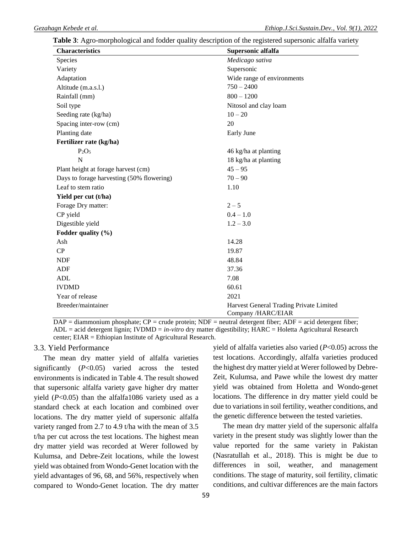### **Table 3**: Agro-morphological and fodder quality description of the registered supersonic alfalfa variety

| <b>Characteristics</b>                    | Supersonic alfalfa                                           |  |
|-------------------------------------------|--------------------------------------------------------------|--|
| Species                                   | Medicago sativa                                              |  |
| Variety                                   | Supersonic                                                   |  |
| Adaptation                                | Wide range of environments                                   |  |
| Altitude (m.a.s.l.)                       | $750 - 2400$                                                 |  |
| Rainfall (mm)                             | $800 - 1200$                                                 |  |
| Soil type                                 | Nitosol and clay loam                                        |  |
| Seeding rate (kg/ha)                      | $10 - 20$                                                    |  |
| Spacing inter-row (cm)                    | 20                                                           |  |
| Planting date                             | Early June                                                   |  |
| Fertilizer rate (kg/ha)                   |                                                              |  |
| $P_2O_5$                                  | 46 kg/ha at planting                                         |  |
| N                                         | 18 kg/ha at planting                                         |  |
| Plant height at forage harvest (cm)       | $45 - 95$                                                    |  |
| Days to forage harvesting (50% flowering) | $70 - 90$                                                    |  |
| Leaf to stem ratio                        | 1.10                                                         |  |
| Yield per cut (t/ha)                      |                                                              |  |
| Forage Dry matter:                        | $2 - 5$                                                      |  |
| CP yield                                  | $0.4 - 1.0$                                                  |  |
| Digestible yield                          | $1.2 - 3.0$                                                  |  |
| Fodder quality (%)                        |                                                              |  |
| Ash                                       | 14.28                                                        |  |
| CP                                        | 19.87                                                        |  |
| <b>NDF</b>                                | 48.84                                                        |  |
| <b>ADF</b>                                | 37.36                                                        |  |
| <b>ADL</b>                                | 7.08                                                         |  |
| <b>IVDMD</b>                              | 60.61                                                        |  |
| Year of release                           | 2021                                                         |  |
| Breeder/maintainer                        | Harvest General Trading Private Limited<br>Company/HARC/EIAR |  |

 $DAP =$  diammonium phosphate;  $CP =$  crude protein;  $NDF =$  neutral detergent fiber;  $ADF =$  acid detergent fiber; ADL = acid detergent lignin; IVDMD = *in-vitro* dry matter digestibility; HARC = Holetta Agricultural Research center; EIAR = Ethiopian Institute of Agricultural Research.

# 3.3. Yield Performance

The mean dry matter yield of alfalfa varieties significantly (*P*<0.05) varied across the tested environments is indicated in Table 4. The result showed that supersonic alfalfa variety gave higher dry matter yield  $(P<0.05)$  than the alfalfa1086 variety used as a standard check at each location and combined over locations. The dry matter yield of supersonic alfalfa variety ranged from 2.7 to 4.9 t/ha with the mean of 3.5 t/ha per cut across the test locations. The highest mean dry matter yield was recorded at Werer followed by Kulumsa, and Debre-Zeit locations, while the lowest yield was obtained from Wondo-Genet location with the yield advantages of 96, 68, and 56%, respectively when compared to Wondo-Genet location. The dry matter yield of alfalfa varieties also varied (*P*<0.05) across the test locations. Accordingly, alfalfa varieties produced the highest dry matter yield at Werer followed by Debre-Zeit, Kulumsa, and Pawe while the lowest dry matter yield was obtained from Holetta and Wondo-genet locations. The difference in dry matter yield could be due to variations in soil fertility, weather conditions, and the genetic difference between the tested varieties.

The mean dry matter yield of the supersonic alfalfa variety in the present study was slightly lower than the value reported for the same variety in Pakistan (Nasratullah et al., 2018). This is might be due to differences in soil, weather, and management conditions. The stage of maturity, soil fertility, climatic conditions, and cultivar differences are the main factors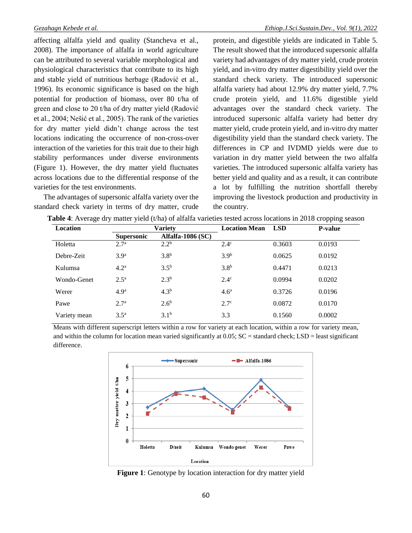affecting alfalfa yield and quality (Stancheva et al., 2008). The importance of alfalfa in world agriculture can be attributed to several variable morphological and physiological characteristics that contribute to its high and stable yield of nutritious herbage (Radović et al., 1996). Its economic significance is based on the high potential for production of biomass, over 80 t/ha of green and close to 20 t/ha of dry matter yield (Radović et al., 2004; Nešić et al., 2005). The rank of the varieties for dry matter yield didn't change across the test locations indicating the occurrence of non-cross-over interaction of the varieties for this trait due to their high stability performances under diverse environments (Figure 1). However, the dry matter yield fluctuates across locations due to the differential response of the varieties for the test environments.

The advantages of supersonic alfalfa variety over the standard check variety in terms of dry matter, crude protein, and digestible yields are indicated in Table 5. The result showed that the introduced supersonic alfalfa variety had advantages of dry matter yield, crude protein yield, and in-vitro dry matter digestibility yield over the standard check variety. The introduced supersonic alfalfa variety had about 12.9% dry matter yield, 7.7% crude protein yield, and 11.6% digestible yield advantages over the standard check variety. The introduced supersonic alfalfa variety had better dry matter yield, crude protein yield, and in-vitro dry matter digestibility yield than the standard check variety. The differences in CP and IVDMD yields were due to variation in dry matter yield between the two alfalfa varieties. The introduced supersonic alfalfa variety has better yield and quality and as a result, it can contribute a lot by fulfilling the nutrition shortfall thereby improving the livestock production and productivity in the country.

| ັ            | ╯<br>╯            |                          |                      |            | $\cdots$       |
|--------------|-------------------|--------------------------|----------------------|------------|----------------|
| Location     |                   | Variety                  | <b>Location Mean</b> | <b>LSD</b> | <b>P-value</b> |
|              | <b>Supersonic</b> | <b>Alfalfa-1086 (SC)</b> |                      |            |                |
| Holetta      | 2.7 <sup>a</sup>  | 2.2 <sup>b</sup>         | $2.4^\circ$          | 0.3603     | 0.0193         |
| Debre-Zeit   | 3.9 <sup>a</sup>  | 3.8 <sup>b</sup>         | 3.9 <sup>b</sup>     | 0.0625     | 0.0192         |
| Kulumsa      | 4.2 <sup>a</sup>  | 3.5 <sup>b</sup>         | 3.8 <sup>b</sup>     | 0.4471     | 0.0213         |
| Wondo-Genet  | 2.5 <sup>a</sup>  | $2.3^{b}$                | $2.4^\circ$          | 0.0994     | 0.0202         |
| Werer        | 4.9 <sup>a</sup>  | 4.3 <sup>b</sup>         | 4.6 <sup>a</sup>     | 0.3726     | 0.0196         |
| Pawe         | 2.7 <sup>a</sup>  | 2.6 <sup>b</sup>         | $2.7^\circ$          | 0.0872     | 0.0170         |
| Variety mean | 3.5 <sup>a</sup>  | $3.1^{b}$                | 3.3                  | 0.1560     | 0.0002         |

**Table 4**: Average dry matter yield (t/ha) of alfalfa varieties tested across locations in 2018 cropping season

Means with different superscript letters within a row for variety at each location, within a row for variety mean, and within the column for location mean varied significantly at  $0.05$ ;  $SC =$  standard check;  $LSD =$  least significant difference.



**Figure 1**: Genotype by location interaction for dry matter yield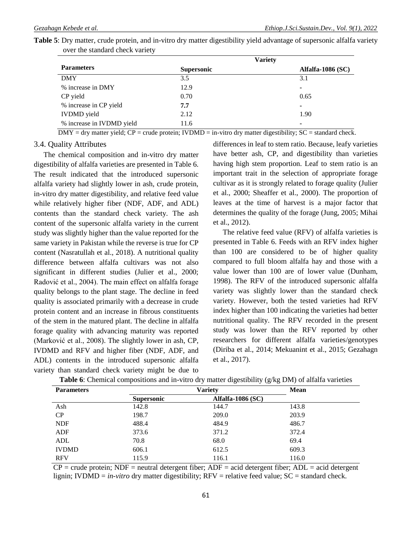|                           |                   | <b>Variety</b>    |
|---------------------------|-------------------|-------------------|
| <b>Parameters</b>         | <b>Supersonic</b> | Alfalfa-1086 (SC) |
| <b>DMY</b>                | 3.5               | 3.1               |
| % increase in DMY         | 12.9              | ۰                 |
| CP yield                  | 0.70              | 0.65              |
| % increase in CP yield    | 7.7               | ۰                 |
| <b>IVDMD</b> yield        | 2.12              | 1.90              |
| % increase in IVDMD yield | 11.6              |                   |

**Table 5**: Dry matter, crude protein, and in-vitro dry matter digestibility yield advantage of supersonic alfalfa variety over the standard check variety

 $DMY = dry$  matter yield;  $CP = crude$  protein;  $IVDMD = in-vitro$  dry matter digestibility;  $SC = standard$  check.

# 3.4. Quality Attributes

The chemical composition and in-vitro dry matter digestibility of alfalfa varieties are presented in Table 6. The result indicated that the introduced supersonic alfalfa variety had slightly lower in ash, crude protein, in-vitro dry matter digestibility, and relative feed value while relatively higher fiber (NDF, ADF, and ADL) contents than the standard check variety. The ash content of the supersonic alfalfa variety in the current study was slightly higher than the value reported for the same variety in Pakistan while the reverse is true for CP content (Nasratullah et al., 2018). A nutritional quality difference between alfalfa cultivars was not also significant in different studies (Julier et al., 2000; Radović et al., 2004). The main effect on alfalfa forage quality belongs to the plant stage. The decline in feed quality is associated primarily with a decrease in crude protein content and an increase in fibrous constituents of the stem in the matured plant. The decline in alfalfa forage quality with advancing maturity was reported (Marković et al., 2008). The slightly lower in ash, CP, IVDMD and RFV and higher fiber (NDF, ADF, and ADL) contents in the introduced supersonic alfalfa variety than standard check variety might be due to

differences in leaf to stem ratio. Because, leafy varieties have better ash, CP, and digestibility than varieties having high stem proportion. Leaf to stem ratio is an important trait in the selection of appropriate forage cultivar as it is strongly related to forage quality (Julier et al., 2000; Sheaffer et al., 2000). The proportion of leaves at the time of harvest is a major factor that determines the quality of the forage (Jung, 2005; Mihai et al., 2012).

The relative feed value (RFV) of alfalfa varieties is presented in Table 6. Feeds with an RFV index higher than 100 are considered to be of higher quality compared to full bloom alfalfa hay and those with a value lower than 100 are of lower value (Dunham, 1998). The RFV of the introduced supersonic alfalfa variety was slightly lower than the standard check variety. However, both the tested varieties had RFV index higher than 100 indicating the varieties had better nutritional quality. The RFV recorded in the present study was lower than the RFV reported by other researchers for different alfalfa varieties/genotypes (Diriba et al., 2014; Mekuanint et al., 2015; Gezahagn et al., 2017).

| <b>Parameters</b> |                   | <b>Mean</b>         |       |
|-------------------|-------------------|---------------------|-------|
|                   | <b>Supersonic</b> | Alfalfa-1086 $(SC)$ |       |
| Ash               | 142.8             | 144.7               | 143.8 |
| CP                | 198.7             | 209.0               | 203.9 |
| <b>NDF</b>        | 488.4             | 484.9               | 486.7 |
| ADF               | 373.6             | 371.2               | 372.4 |
| ADL               | 70.8              | 68.0                | 69.4  |
| <b>IVDMD</b>      | 606.1             | 612.5               | 609.3 |
| <b>RFV</b>        | 115.9             | 116.1               | 116.0 |

| <b>Table 6</b> : Chemical compositions and in-vitro dry matter digestibility $(g/kg DM)$ of alfalfa varieties |  |
|---------------------------------------------------------------------------------------------------------------|--|
|---------------------------------------------------------------------------------------------------------------|--|

 $CP$  = crude protein; NDF = neutral detergent fiber; ADF = acid detergent fiber; ADL = acid detergent lignin; IVDMD = *in-vitro* dry matter digestibility; RFV = relative feed value; SC = standard check.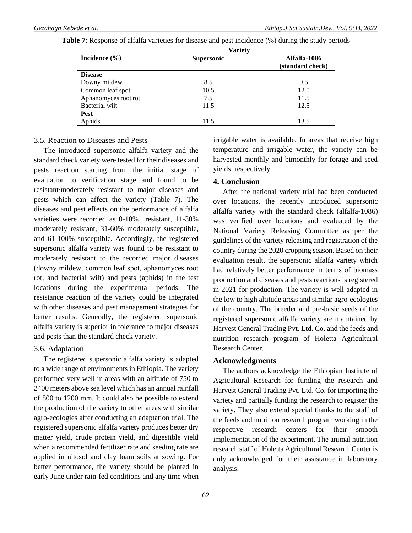|                      | <b>Variety</b>    |                                  |
|----------------------|-------------------|----------------------------------|
| Incidence $(\% )$    | <b>Supersonic</b> | Alfalfa-1086<br>(standard check) |
| <b>Disease</b>       |                   |                                  |
| Downy mildew         | 8.5               | 9.5                              |
| Common leaf spot     | 10.5              | 12.0                             |
| Aphanomyces root rot | 7.5               | 11.5                             |
| Bacterial wilt       | 11.5              | 12.5                             |
| <b>Pest</b>          |                   |                                  |
| Aphids               | 11.5              | 13.5                             |

**Table 7**: Response of alfalfa varieties for disease and pest incidence (%) during the study periods

# 3.5. Reaction to Diseases and Pests

The introduced supersonic alfalfa variety and the standard check variety were tested for their diseases and pests reaction starting from the initial stage of evaluation to verification stage and found to be resistant/moderately resistant to major diseases and pests which can affect the variety (Table 7). The diseases and pest effects on the performance of alfalfa varieties were recorded as 0-10% resistant, 11-30% moderately resistant, 31-60% moderately susceptible, and 61-100% susceptible. Accordingly, the registered supersonic alfalfa variety was found to be resistant to moderately resistant to the recorded major diseases (downy mildew, common leaf spot, aphanomyces root rot, and bacterial wilt) and pests (aphids) in the test locations during the experimental periods. The resistance reaction of the variety could be integrated with other diseases and pest management strategies for better results. Generally, the registered supersonic alfalfa variety is superior in tolerance to major diseases and pests than the standard check variety.

### 3.6. Adaptation

The registered supersonic alfalfa variety is adapted to a wide range of environments in Ethiopia. The variety performed very well in areas with an altitude of 750 to 2400 meters above sea level which has an annual rainfall of 800 to 1200 mm. It could also be possible to extend the production of the variety to other areas with similar agro-ecologies after conducting an adaptation trial. The registered supersonic alfalfa variety produces better dry matter yield, crude protein yield, and digestible yield when a recommended fertilizer rate and seeding rate are applied in nitosol and clay loam soils at sowing. For better performance, the variety should be planted in early June under rain-fed conditions and any time when irrigable water is available. In areas that receive high temperature and irrigable water, the variety can be harvested monthly and bimonthly for forage and seed yields, respectively.

# **4. Conclusion**

After the national variety trial had been conducted over locations, the recently introduced supersonic alfalfa variety with the standard check (alfalfa-1086) was verified over locations and evaluated by the National Variety Releasing Committee as per the guidelines of the variety releasing and registration of the country during the 2020 cropping season. Based on their evaluation result, the supersonic alfalfa variety which had relatively better performance in terms of biomass production and diseases and pests reactions is registered in 2021 for production. The variety is well adapted in the low to high altitude areas and similar agro-ecologies of the country. The breeder and pre-basic seeds of the registered supersonic alfalfa variety are maintained by Harvest General Trading Pvt. Ltd. Co. and the feeds and nutrition research program of Holetta Agricultural Research Center.

### **Acknowledgments**

The authors acknowledge the Ethiopian Institute of Agricultural Research for funding the research and Harvest General Trading Pvt. Ltd. Co. for importing the variety and partially funding the research to register the variety. They also extend special thanks to the staff of the feeds and nutrition research program working in the respective research centers for their smooth implementation of the experiment. The animal nutrition research staff of Holetta Agricultural Research Center is duly acknowledged for their assistance in laboratory analysis.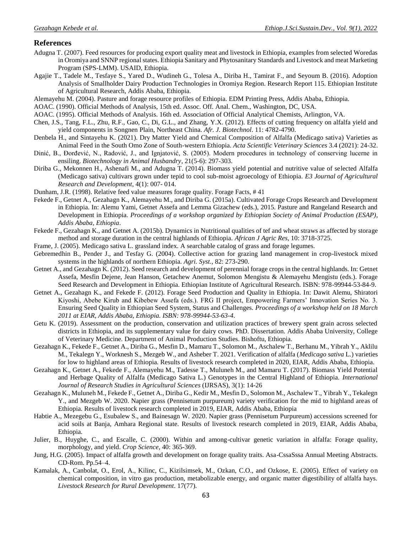### **References**

- Adugna T. (2007). Feed resources for producing export quality meat and livestock in Ethiopia, examples from selected Woredas in Oromiya and SNNP regional states. Ethiopia Sanitary and Phytosanitary Standards and Livestock and meat Marketing Program (SPS-LMM). USAID, Ethiopia.
- Agajie T., Tadele M., Tesfaye S., Yared D., Wudineh G., Tolesa A., Diriba H., Tamirat F., and Seyoum B. (2016). Adoption Analysis of Smallholder Dairy Production Technologies in Oromiya Region. Research Report 115. Ethiopian Institute of Agricultural Research, Addis Ababa, Ethiopia.
- Alemayehu M. (2004). Pasture and forage resource profiles of Ethiopia. EDM Printing Press, Addis Ababa, Ethiopia.
- AOAC. (1990). Official Methods of Analysis, 15th ed. Assoc. Off. Anal. Chem., Washington, DC, USA.
- AOAC. (1995). Official Methods of Analysis. 16th ed. Association of Official Analytical Chemists, Arlington, VA.
- Chen, J.S., Tang, F.L., Zhu, R.F., Gao, C., Di, G.L., and Zhang, Y.X. (2012). Effects of cutting frequency on alfalfa yield and yield components in Songnen Plain, Northeast China. *Afr. J. Biotechnol*. 11: 4782-4790.
- Denbela H., and Sintayehu K. (2021). Dry Matter Yield and Chemical Composition of Alfalfa (Medicago sativa) Varieties as Animal Feed in the South Omo Zone of South-western Ethiopia. *Acta Scientific Veterinary Sciences* 3.4 (2021): 24-32.
- Dinić, B., Đorđević, N., Radović, J., and Ignjatović, S. (2005). Modern procedures in technology of conserving lucerne in ensiling. *Biotechnology in Animal Husbandry*, 21(5-6): 297-303.
- Diriba G., Mekonnen H., Ashenafi M., and Adugna T. (2014). Biomass yield potential and nutritive value of selected Alfalfa (Medicago sativa) cultivars grown under tepid to cool sub-moist agroecology of Ethiopia. *E3 Journal of Agricultural Research and Development,* 4(1): 007- 014.
- Dunham, J.R. (1998). Relative feed value measures forage quality. Forage Facts, # 41
- Fekede F., Getnet A., Gezahagn K., Alemayehu M., and Diriba G. (2015a). Cultivated Forage Crops Research and Development in Ethiopia. In: Alemu Yami, Getnet Assefa and Lemma Gizachew (eds.), 2015. Pasture and Rangeland Research and Development in Ethiopia. *Proceedings of a workshop organized by Ethiopian Society of Animal Production (ESAP)*, *Addis Ababa, Ethiopia*.
- Fekede F., Gezahagn K., and Getnet A. (2015b). Dynamics in Nutritional qualities of tef and wheat straws as affected by storage method and storage duration in the central highlands of Ethiopia. *African J Agric Res,* 10: 3718-3725.
- Frame, J. (2005). Medicago sativa L. grassland index. A searchable catalog of grass and forage legumes.
- Gebremedhin B., Pender J., and Tesfay G. (2004). Collective action for grazing land management in crop-livestock mixed systems in the highlands of northern Ethiopia. *Agri. Syst.,* 82: 273-290.
- Getnet A., and Gezahagn K. (2012). Seed research and development of perennial forage crops in the central highlands. In: Getnet Assefa, Mesfin Dejene, Jean Hanson, Getachew Anemut, Solomon Mengistu & Alemayehu Mengistu (eds.). Forage Seed Research and Development in Ethiopia. Ethiopian Institute of Agricultural Research. ISBN: 978-99944-53-84-9.
- Getnet A., Gezahagn K., and Fekede F. (2012). Forage Seed Production and Quality in Ethiopia. In: Dawit Alemu, Shiratori Kiyoshi, Abebe Kirub and Kibebew Assefa (eds.). FRG II project, Empowering Farmers' Innovation Series No. 3. Ensuring Seed Quality in Ethiopian Seed System, Status and Challenges. *Proceedings of a workshop held on 18 March 2011 at EIAR, Addis Ababa, Ethiopia. ISBN: 978-99944-53-63-4*.
- Getu K. (2019). Assessment on the production, conservation and utilization practices of brewery spent grain across selected districts in Ethiopia, and its supplementary value for dairy cows. PhD. Dissertation. Addis Ababa University, College of Veterinary Medicine. Department of Animal Production Studies. Bishoftu, Ethiopia.
- Gezahagn K., Fekede F., Getnet A., Diriba G., Mesfin D., Mamaru T., Solomon M., Aschalew T., Berhanu M., Yibrah Y., Aklilu M., Tekalegn Y., Worknesh S., Mezgeb W., and Asheber T. 2021. Verification of alfalfa (*Medicago sativa* L.) varieties for low to highland areas of Ethiopia. Results of livestock research completed in 2020, EIAR, Addis Ababa, Ethiopia.
- Gezahagn K., Getnet A., Fekede F., Alemayehu M., Tadesse T., Muluneh M., and Mamaru T. (2017). Biomass Yield Potential and Herbage Quality of Alfalfa (Medicago Sativa L.) Genotypes in the Central Highland of Ethiopia. *International Journal of Research Studies in Agricultural Sciences* (IJRSAS), 3(1): 14-26
- Gezahagn K., Muluneh M., Fekede F., Getnet A., Diriba G., Kedir M., Mesfin D., Solomon M., Aschalew T., Yibrah Y., Tekalegn Y., and Mezgeb W. 2020. Napier grass (Pennisetum purpureum) variety verification for the mid to highland areas of Ethiopia. Results of livestock research completed in 2019, EIAR, Addis Ababa, Ethiopia
- Habtie A., Mezegebu G., Esubalew S., and Bainesagn W. 2020. Napier grass (Pennisetum Purpureum) accessions screened for acid soils at Banja, Amhara Regional state. Results of livestock research completed in 2019, EIAR, Addis Ababa, Ethiopia.
- Julier, B., Huyghe, C., and Escalle, C. (2000). Within and among-cultivar genetic variation in alfalfa: Forage quality, morphology, and yield. *Crop Science*, 40: 365-369.
- Jung, H.G. (2005). Impact of alfalfa growth and development on forage quality traits. Asa-CssaSssa Annual Meeting Abstracts. CD-Rom. Pp.54–4.
- Kamalak, A., Canbolat, O., Erol, A., Kilinc, C., Kizilsimsek, M., Ozkan, C.O., and Ozkose, E. (2005). Effect of variety on chemical composition, in vitro gas production, metabolizable energy, and organic matter digestibility of alfalfa hays. *Livestock Research for Rural Development*. 17(77).